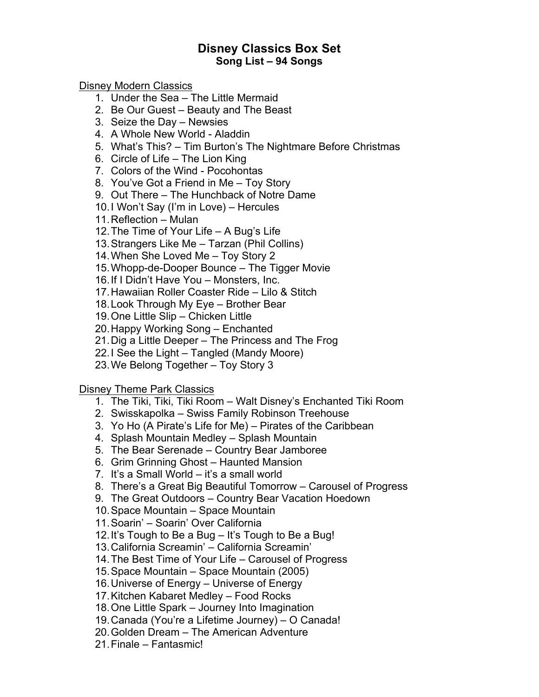## **Disney Classics Box Set Song List – 94 Songs**

Disney Modern Classics

- 1. Under the Sea The Little Mermaid
- 2. Be Our Guest Beauty and The Beast
- 3. Seize the Day Newsies
- 4. A Whole New World Aladdin
- 5. What's This? Tim Burton's The Nightmare Before Christmas
- 6. Circle of Life The Lion King
- 7. Colors of the Wind Pocohontas
- 8. You've Got a Friend in Me Toy Story
- 9. Out There The Hunchback of Notre Dame
- 10.I Won't Say (I'm in Love) Hercules
- 11.Reflection Mulan
- 12.The Time of Your Life A Bug's Life
- 13.Strangers Like Me Tarzan (Phil Collins)
- 14.When She Loved Me Toy Story 2
- 15.Whopp-de-Dooper Bounce The Tigger Movie
- 16.If I Didn't Have You Monsters, Inc.
- 17.Hawaiian Roller Coaster Ride Lilo & Stitch
- 18.Look Through My Eye Brother Bear
- 19.One Little Slip Chicken Little
- 20.Happy Working Song Enchanted
- 21.Dig a Little Deeper The Princess and The Frog
- 22.I See the Light Tangled (Mandy Moore)
- 23.We Belong Together Toy Story 3

Disney Theme Park Classics

- 1. The Tiki, Tiki, Tiki Room Walt Disney's Enchanted Tiki Room
- 2. Swisskapolka Swiss Family Robinson Treehouse
- 3. Yo Ho (A Pirate's Life for Me) Pirates of the Caribbean
- 4. Splash Mountain Medley Splash Mountain
- 5. The Bear Serenade Country Bear Jamboree
- 6. Grim Grinning Ghost Haunted Mansion
- 7. It's a Small World it's a small world
- 8. There's a Great Big Beautiful Tomorrow Carousel of Progress
- 9. The Great Outdoors Country Bear Vacation Hoedown
- 10.Space Mountain Space Mountain
- 11.Soarin' Soarin' Over California
- 12.It's Tough to Be a Bug It's Tough to Be a Bug!
- 13.California Screamin' California Screamin'
- 14.The Best Time of Your Life Carousel of Progress
- 15.Space Mountain Space Mountain (2005)
- 16.Universe of Energy Universe of Energy
- 17.Kitchen Kabaret Medley Food Rocks
- 18.One Little Spark Journey Into Imagination
- 19.Canada (You're a Lifetime Journey) O Canada!
- 20.Golden Dream The American Adventure
- 21.Finale Fantasmic!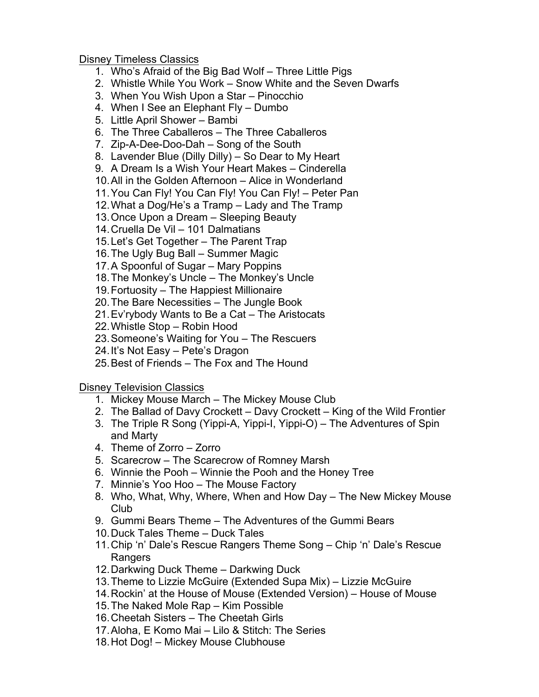## Disney Timeless Classics

- 1. Who's Afraid of the Big Bad Wolf Three Little Pigs
- 2. Whistle While You Work Snow White and the Seven Dwarfs
- 3. When You Wish Upon a Star Pinocchio
- 4. When I See an Elephant Fly Dumbo
- 5. Little April Shower Bambi
- 6. The Three Caballeros The Three Caballeros
- 7. Zip-A-Dee-Doo-Dah Song of the South
- 8. Lavender Blue (Dilly Dilly) So Dear to My Heart
- 9. A Dream Is a Wish Your Heart Makes Cinderella
- 10.All in the Golden Afternoon Alice in Wonderland
- 11.You Can Fly! You Can Fly! You Can Fly! Peter Pan
- 12.What a Dog/He's a Tramp Lady and The Tramp
- 13.Once Upon a Dream Sleeping Beauty
- 14.Cruella De Vil 101 Dalmatians
- 15.Let's Get Together The Parent Trap
- 16.The Ugly Bug Ball Summer Magic
- 17.A Spoonful of Sugar Mary Poppins
- 18.The Monkey's Uncle The Monkey's Uncle
- 19.Fortuosity The Happiest Millionaire
- 20.The Bare Necessities The Jungle Book
- 21.Ev'rybody Wants to Be a Cat The Aristocats
- 22.Whistle Stop Robin Hood
- 23.Someone's Waiting for You The Rescuers
- 24.It's Not Easy Pete's Dragon
- 25.Best of Friends The Fox and The Hound

Disney Television Classics

- 1. Mickey Mouse March The Mickey Mouse Club
- 2. The Ballad of Davy Crockett Davy Crockett King of the Wild Frontier
- 3. The Triple R Song (Yippi-A, Yippi-I, Yippi-O) The Adventures of Spin and Marty
- 4. Theme of Zorro Zorro
- 5. Scarecrow The Scarecrow of Romney Marsh
- 6. Winnie the Pooh Winnie the Pooh and the Honey Tree
- 7. Minnie's Yoo Hoo The Mouse Factory
- 8. Who, What, Why, Where, When and How Day The New Mickey Mouse Club
- 9. Gummi Bears Theme The Adventures of the Gummi Bears
- 10.Duck Tales Theme Duck Tales
- 11.Chip 'n' Dale's Rescue Rangers Theme Song Chip 'n' Dale's Rescue **Rangers**
- 12.Darkwing Duck Theme Darkwing Duck
- 13.Theme to Lizzie McGuire (Extended Supa Mix) Lizzie McGuire
- 14.Rockin' at the House of Mouse (Extended Version) House of Mouse
- 15.The Naked Mole Rap Kim Possible
- 16.Cheetah Sisters The Cheetah Girls
- 17.Aloha, E Komo Mai Lilo & Stitch: The Series
- 18.Hot Dog! Mickey Mouse Clubhouse